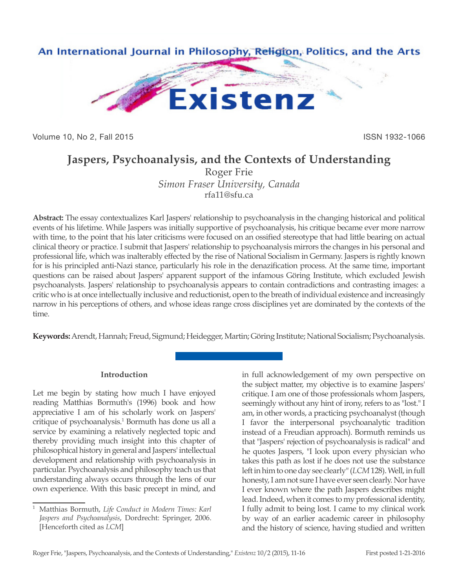

Volume 10, No 2, Fall 2015 **ISSN 1932-1066** 

# **Jaspers, Psychoanalysis, and the Contexts of Understanding**

Roger Frie *Simon Fraser University, Canada* rfa11@sfu.ca

**Abstract:** The essay contextualizes Karl Jaspers' relationship to psychoanalysis in the changing historical and political events of his lifetime. While Jaspers was initially supportive of psychoanalysis, his critique became ever more narrow with time, to the point that his later criticisms were focused on an ossified stereotype that had little bearing on actual clinical theory or practice. I submit that Jaspers' relationship to psychoanalysis mirrors the changes in his personal and professional life, which was inalterably effected by the rise of National Socialism in Germany. Jaspers is rightly known for is his principled anti-Nazi stance, particularly his role in the denazification process. At the same time, important questions can be raised about Jaspers' apparent support of the infamous Göring Institute, which excluded Jewish psychoanalysts. Jaspers' relationship to psychoanalysis appears to contain contradictions and contrasting images: a critic who is at once intellectually inclusive and reductionist, open to the breath of individual existence and increasingly narrow in his perceptions of others, and whose ideas range cross disciplines yet are dominated by the contexts of the time.

**Keywords:** Arendt, Hannah; Freud, Sigmund; Heidegger, Martin; Göring Institute; National Socialism; Psychoanalysis.

## **Introduction**

Let me begin by stating how much I have enjoyed reading Matthias Bormuth's (1996) book and how appreciative I am of his scholarly work on Jaspers' critique of psychoanalysis.<sup>1</sup> Bormuth has done us all a service by examining a relatively neglected topic and thereby providing much insight into this chapter of philosophical history in general and Jaspers' intellectual development and relationship with psychoanalysis in particular. Psychoanalysis and philosophy teach us that understanding always occurs through the lens of our own experience. With this basic precept in mind, and

in full acknowledgement of my own perspective on the subject matter, my objective is to examine Jaspers' critique. I am one of those professionals whom Jaspers, seemingly without any hint of irony, refers to as "lost." I am, in other words, a practicing psychoanalyst (though I favor the interpersonal psychoanalytic tradition instead of a Freudian approach). Bormuth reminds us that "Jaspers' rejection of psychoanalysis is radical" and he quotes Jaspers, "I look upon every physician who takes this path as lost if he does not use the substance left in him to one day see clearly" (*LCM* 128). Well, in full honesty, I am not sure I have ever seen clearly. Nor have I ever known where the path Jaspers describes might lead. Indeed, when it comes to my professional identity, I fully admit to being lost. I came to my clinical work by way of an earlier academic career in philosophy and the history of science, having studied and written

<sup>1</sup> Matthias Bormuth, *Life Conduct in Modern Times: Karl Jaspers and Psychoanalysis*, Dordrecht: Springer, 2006. [Henceforth cited as *LCM*]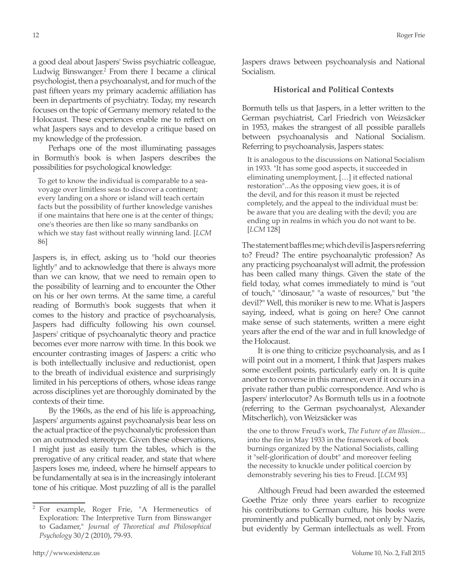a good deal about Jaspers' Swiss psychiatric colleague, Ludwig Binswanger.<sup>2</sup> From there I became a clinical psychologist, then a psychoanalyst, and for much of the past fifteen years my primary academic affiliation has been in departments of psychiatry. Today, my research focuses on the topic of Germany memory related to the Holocaust. These experiences enable me to reflect on what Jaspers says and to develop a critique based on my knowledge of the profession.

Perhaps one of the most illuminating passages in Bormuth's book is when Jaspers describes the possibilities for psychological knowledge:

To get to know the individual is comparable to a seavoyage over limitless seas to discover a continent; every landing on a shore or island will teach certain facts but the possibility of further knowledge vanishes if one maintains that here one is at the center of things; one's theories are then like so many sandbanks on which we stay fast without really winning land. [*LCM* 86]

Jaspers is, in effect, asking us to "hold our theories lightly" and to acknowledge that there is always more than we can know, that we need to remain open to the possibility of learning and to encounter the Other on his or her own terms. At the same time, a careful reading of Bormuth's book suggests that when it comes to the history and practice of psychoanalysis, Jaspers had difficulty following his own counsel. Jaspers' critique of psychoanalytic theory and practice becomes ever more narrow with time. In this book we encounter contrasting images of Jaspers: a critic who is both intellectually inclusive and reductionist, open to the breath of individual existence and surprisingly limited in his perceptions of others, whose ideas range across disciplines yet are thoroughly dominated by the contexts of their time.

By the 1960s, as the end of his life is approaching, Jaspers' arguments against psychoanalysis bear less on the actual practice of the psychoanalytic profession than on an outmoded stereotype. Given these observations, I might just as easily turn the tables, which is the prerogative of any critical reader, and state that where Jaspers loses me, indeed, where he himself appears to be fundamentally at sea is in the increasingly intolerant tone of his critique. Most puzzling of all is the parallel Jaspers draws between psychoanalysis and National Socialism.

#### **Historical and Political Contexts**

Bormuth tells us that Jaspers, in a letter written to the German psychiatrist, Carl Friedrich von Weizsäcker in 1953, makes the strangest of all possible parallels between psychoanalysis and National Socialism. Referring to psychoanalysis, Jaspers states:

It is analogous to the discussions on National Socialism in 1933. "It has some good aspects, it succeeded in eliminating unemployment, […] it effected national restoration"...As the opposing view goes, it is of the devil, and for this reason it must be rejected completely, and the appeal to the individual must be: be aware that you are dealing with the devil; you are ending up in realms in which you do not want to be. [*LCM* 128]

The statement baffles me; which devil is Jaspers referring to? Freud? The entire psychoanalytic profession? As any practicing psychoanalyst will admit, the profession has been called many things. Given the state of the field today, what comes immediately to mind is "out of touch," "dinosaur," "a waste of resources," but "the devil?" Well, this moniker is new to me. What is Jaspers saying, indeed, what is going on here? One cannot make sense of such statements, written a mere eight years after the end of the war and in full knowledge of the Holocaust.

It is one thing to criticize psychoanalysis, and as I will point out in a moment, I think that Jaspers makes some excellent points, particularly early on. It is quite another to converse in this manner, even if it occurs in a private rather than public correspondence. And who is Jaspers' interlocutor? As Bormuth tells us in a footnote (referring to the German psychoanalyst, Alexander Mitscherlich), von Weizsäcker was

the one to throw Freud's work, *The Future of an Illusion*... into the fire in May 1933 in the framework of book burnings organized by the National Socialists, calling it "self-glorification of doubt" and moreover feeling the necessity to knuckle under political coercion by demonstrably severing his ties to Freud. [*LCM* 93]

Although Freud had been awarded the esteemed Goethe Prize only three years earlier to recognize his contributions to German culture, his books were prominently and publically burned, not only by Nazis, but evidently by German intellectuals as well. From

<sup>2</sup> For example, Roger Frie, "A Hermeneutics of Exploration: The Interpretive Turn from Binswanger to Gadamer," *Journal of Theoretical and Philosophical Psychology* 30/2 (2010), 79-93.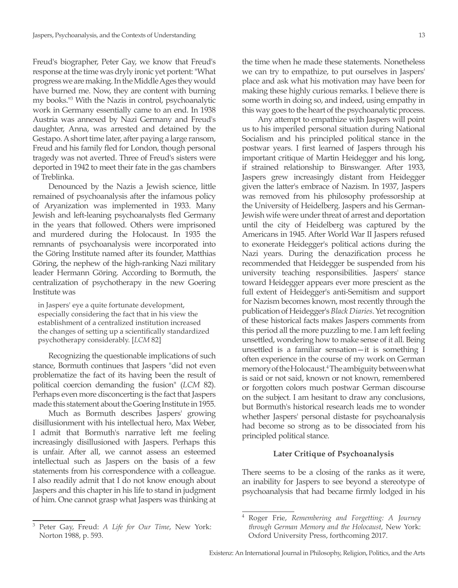Freud's biographer, Peter Gay, we know that Freud's response at the time was dryly ironic yet portent: "What progress we are making. In the Middle Ages they would have burned me. Now, they are content with burning my books."<sup>3</sup> With the Nazis in control, psychoanalytic work in Germany essentially came to an end. In 1938 Austria was annexed by Nazi Germany and Freud's daughter, Anna, was arrested and detained by the Gestapo. A short time later, after paying a large ransom, Freud and his family fled for London, though personal tragedy was not averted. Three of Freud's sisters were deported in 1942 to meet their fate in the gas chambers of Treblinka.

Denounced by the Nazis a Jewish science, little remained of psychoanalysis after the infamous policy of Aryanization was implemented in 1933. Many Jewish and left-leaning psychoanalysts fled Germany in the years that followed. Others were imprisoned and murdered during the Holocaust. In 1935 the remnants of psychoanalysis were incorporated into the Göring Institute named after its founder, Matthias Göring, the nephew of the high-ranking Nazi military leader Hermann Göring. According to Bormuth, the centralization of psychotherapy in the new Goering Institute was

in Jaspers' eye a quite fortunate development, especially considering the fact that in his view the establishment of a centralized institution increased the changes of setting up a scientifically standardized psychotherapy considerably. [*LCM* 82]

Recognizing the questionable implications of such stance, Bormuth continues that Jaspers "did not even problematize the fact of its having been the result of political coercion demanding the fusion" (*LCM* 82). Perhaps even more disconcerting is the fact that Jaspers made this statement about the Goering Institute in 1955.

Much as Bormuth describes Jaspers' growing disillusionment with his intellectual hero, Max Weber, I admit that Bormuth's narrative left me feeling increasingly disillusioned with Jaspers. Perhaps this is unfair. After all, we cannot assess an esteemed intellectual such as Jaspers on the basis of a few statements from his correspondence with a colleague. I also readily admit that I do not know enough about Jaspers and this chapter in his life to stand in judgment of him. One cannot grasp what Jaspers was thinking at the time when he made these statements. Nonetheless we can try to empathize, to put ourselves in Jaspers' place and ask what his motivation may have been for making these highly curious remarks. I believe there is some worth in doing so, and indeed, using empathy in this way goes to the heart of the psychoanalytic process.

Any attempt to empathize with Jaspers will point us to his imperiled personal situation during National Socialism and his principled political stance in the postwar years. I first learned of Jaspers through his important critique of Martin Heidegger and his long, if strained relationship to Binswanger. After 1933, Jaspers grew increasingly distant from Heidegger given the latter's embrace of Nazism. In 1937, Jaspers was removed from his philosophy professorship at the University of Heidelberg. Jaspers and his German-Jewish wife were under threat of arrest and deportation until the city of Heidelberg was captured by the Americans in 1945. After World War II Jaspers refused to exonerate Heidegger's political actions during the Nazi years. During the denazification process he recommended that Heidegger be suspended from his university teaching responsibilities. Jaspers' stance toward Heidegger appears ever more prescient as the full extent of Heidegger's anti-Semitism and support for Nazism becomes known, most recently through the publication of Heidegger's *Black Diaries*. Yet recognition of these historical facts makes Jaspers comments from this period all the more puzzling to me. I am left feeling unsettled, wondering how to make sense of it all. Being unsettled is a familiar sensation—it is something I often experience in the course of my work on German memory of the Holocaust.4 The ambiguity between what is said or not said, known or not known, remembered or forgotten colors much postwar German discourse on the subject. I am hesitant to draw any conclusions, but Bormuth's historical research leads me to wonder whether Jaspers' personal distaste for psychoanalysis had become so strong as to be dissociated from his principled political stance.

### **Later Critique of Psychoanalysis**

There seems to be a closing of the ranks as it were, an inability for Jaspers to see beyond a stereotype of psychoanalysis that had became firmly lodged in his

<sup>3</sup> Peter Gay, Freud: *A Life for Our Time*, New York: Norton 1988, p. 593.

<sup>4</sup> Roger Frie, *Remembering and Forgetting: A Journey through German Memory and the Holocaust*, New York: Oxford University Press, forthcoming 2017.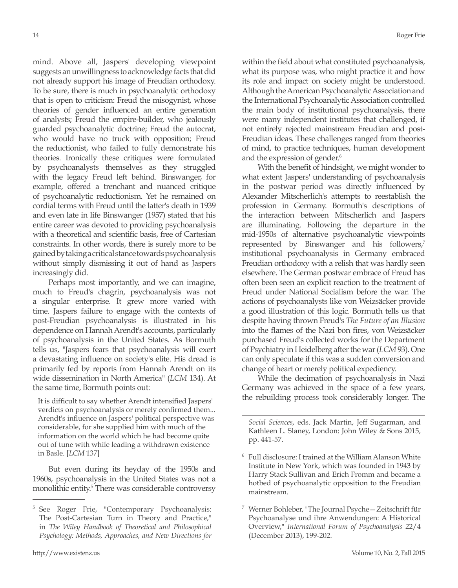mind. Above all, Jaspers' developing viewpoint suggests an unwillingness to acknowledge facts that did not already support his image of Freudian orthodoxy. To be sure, there is much in psychoanalytic orthodoxy that is open to criticism: Freud the misogynist, whose theories of gender influenced an entire generation of analysts; Freud the empire-builder, who jealously guarded psychoanalytic doctrine; Freud the autocrat, who would have no truck with opposition; Freud the reductionist, who failed to fully demonstrate his theories. Ironically these critiques were formulated by psychoanalysts themselves as they struggled with the legacy Freud left behind. Binswanger, for example, offered a trenchant and nuanced critique of psychoanalytic reductionism. Yet he remained on cordial terms with Freud until the latter's death in 1939 and even late in life Binswanger (1957) stated that his entire career was devoted to providing psychoanalysis with a theoretical and scientific basis, free of Cartesian constraints. In other words, there is surely more to be gained by taking a critical stance towards psychoanalysis without simply dismissing it out of hand as Jaspers increasingly did.

Perhaps most importantly, and we can imagine, much to Freud's chagrin, psychoanalysis was not a singular enterprise. It grew more varied with time. Jaspers failure to engage with the contexts of post-Freudian psychoanalysis is illustrated in his dependence on Hannah Arendt's accounts, particularly of psychoanalysis in the United States. As Bormuth tells us, "Jaspers fears that psychoanalysis will exert a devastating influence on society's elite. His dread is primarily fed by reports from Hannah Arendt on its wide dissemination in North America" (*LCM* 134). At the same time, Bormuth points out:

It is difficult to say whether Arendt intensified Jaspers' verdicts on psychoanalysis or merely confirmed them... Arendt's influence on Jaspers' political perspective was considerable, for she supplied him with much of the information on the world which he had become quite out of tune with while leading a withdrawn existence in Basle. [*LCM* 137]

But even during its heyday of the 1950s and 1960s, psychoanalysis in the United States was not a monolithic entity.<sup>5</sup> There was considerable controversy within the field about what constituted psychoanalysis, what its purpose was, who might practice it and how its role and impact on society might be understood. Although the American Psychoanalytic Association and the International Psychoanalytic Association controlled the main body of institutional psychoanalysis, there were many independent institutes that challenged, if not entirely rejected mainstream Freudian and post-Freudian ideas. These challenges ranged from theories of mind, to practice techniques, human development and the expression of gender.<sup>6</sup>

With the benefit of hindsight, we might wonder to what extent Jaspers' understanding of psychoanalysis in the postwar period was directly influenced by Alexander Mitscherlich's attempts to reestablish the profession in Germany. Bormuth's descriptions of the interaction between Mitscherlich and Jaspers are illuminating. Following the departure in the mid-1950s of alternative psychoanalytic viewpoints represented by Binswanger and his followers,<sup>7</sup> institutional psychoanalysis in Germany embraced Freudian orthodoxy with a relish that was hardly seen elsewhere. The German postwar embrace of Freud has often been seen an explicit reaction to the treatment of Freud under National Socialism before the war. The actions of psychoanalysts like von Weizsäcker provide a good illustration of this logic. Bormuth tells us that despite having thrown Freud's *The Future of an Illusion*  into the flames of the Nazi bon fires, von Weizsäcker purchased Freud's collected works for the Department of Psychiatry in Heidelberg after the war (*LCM* 93). One can only speculate if this was a sudden conversion and change of heart or merely political expediency.

While the decimation of psychoanalysis in Nazi Germany was achieved in the space of a few years, the rebuilding process took considerably longer. The

*Social Sciences*, eds. Jack Martin, Jeff Sugarman, and Kathleen L. Slaney, London: John Wiley & Sons 2015, pp. 441-57.

- <sup>6</sup> Full disclosure: I trained at the William Alanson White Institute in New York, which was founded in 1943 by Harry Stack Sullivan and Erich Fromm and became a hotbed of psychoanalytic opposition to the Freudian mainstream.
- <sup>7</sup> Werner Bohleber, "The Journal Psyche—Zeitschrift für Psychoanalyse und ihre Anwendungen: A Historical Overview," *International Forum of Psychoanalysis* 22/4 (December 2013), 199-202.

<sup>5</sup> See Roger Frie, "Contemporary Psychoanalysis: The Post-Cartesian Turn in Theory and Practice," in *The Wiley Handbook of Theoretical and Philosophical Psychology: Methods, Approaches, and New Directions for*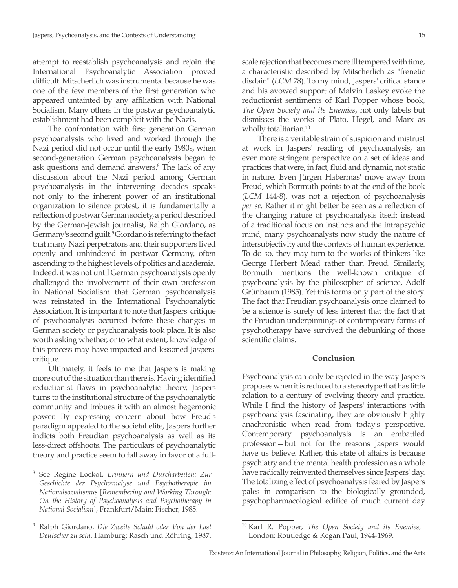attempt to reestablish psychoanalysis and rejoin the International Psychoanalytic Association proved difficult. Mitscherlich was instrumental because he was one of the few members of the first generation who appeared untainted by any affiliation with National Socialism. Many others in the postwar psychoanalytic establishment had been complicit with the Nazis.

The confrontation with first generation German psychoanalysts who lived and worked through the Nazi period did not occur until the early 1980s, when second-generation German psychoanalysts began to ask questions and demand answers.<sup>8</sup> The lack of any discussion about the Nazi period among German psychoanalysis in the intervening decades speaks not only to the inherent power of an institutional organization to silence protest, it is fundamentally a reflection of postwar German society, a period described by the German-Jewish journalist, Ralph Giordano, as Germany's second guilt.<sup>9</sup> Giordano is referring to the fact that many Nazi perpetrators and their supporters lived openly and unhindered in postwar Germany, often ascending to the highest levels of politics and academia. Indeed, it was not until German psychoanalysts openly challenged the involvement of their own profession in National Socialism that German psychoanalysis was reinstated in the International Psychoanalytic Association. It is important to note that Jaspers' critique of psychoanalysis occurred before these changes in German society or psychoanalysis took place. It is also worth asking whether, or to what extent, knowledge of this process may have impacted and lessoned Jaspers' critique.

Ultimately, it feels to me that Jaspers is making more out of the situation than there is. Having identified reductionist flaws in psychoanalytic theory, Jaspers turns to the institutional structure of the psychoanalytic community and imbues it with an almost hegemonic power. By expressing concern about how Freud's paradigm appealed to the societal elite, Jaspers further indicts both Freudian psychoanalysis as well as its less-direct offshoots. The particulars of psychoanalytic theory and practice seem to fall away in favor of a fullscale rejection that becomes more ill tempered with time, a characteristic described by Mitscherlich as "frenetic disdain" (*LCM* 78). To my mind, Jaspers' critical stance and his avowed support of Malvin Laskey evoke the reductionist sentiments of Karl Popper whose book, *The Open Society and its Enemies*, not only labels but dismisses the works of Plato, Hegel, and Marx as wholly totalitarian.<sup>10</sup>

There is a veritable strain of suspicion and mistrust at work in Jaspers' reading of psychoanalysis, an ever more stringent perspective on a set of ideas and practices that were, in fact, fluid and dynamic, not static in nature. Even Jürgen Habermas' move away from Freud, which Bormuth points to at the end of the book (*LCM* 144-8), was not a rejection of psychoanalysis *per se*. Rather it might better be seen as a reflection of the changing nature of psychoanalysis itself: instead of a traditional focus on instincts and the intrapsychic mind, many psychoanalysts now study the nature of intersubjectivity and the contexts of human experience. To do so, they may turn to the works of thinkers like George Herbert Mead rather than Freud. Similarly, Bormuth mentions the well-known critique of psychoanalysis by the philosopher of science, Adolf Grünbaum (1985). Yet this forms only part of the story. The fact that Freudian psychoanalysis once claimed to be a science is surely of less interest that the fact that the Freudian underpinnings of contemporary forms of psychotherapy have survived the debunking of those scientific claims.

#### **Conclusion**

Psychoanalysis can only be rejected in the way Jaspers proposes when it is reduced to a stereotype that has little relation to a century of evolving theory and practice. While I find the history of Jaspers' interactions with psychoanalysis fascinating, they are obviously highly anachronistic when read from today's perspective. Contemporary psychoanalysis is an embattled profession—but not for the reasons Jaspers would have us believe. Rather, this state of affairs is because psychiatry and the mental health profession as a whole have radically reinvented themselves since Jaspers' day. The totalizing effect of psychoanalysis feared by Jaspers pales in comparison to the biologically grounded, psychopharmacological edifice of much current day

<sup>8</sup> See Regine Lockot, *Erinnern und Durcharbeiten: Zur Geschichte der Psychoanalyse und Psychotherapie im Nationalsozialismus* [*Remembering and Working Through: On the History of Psychoanalysis and Psychotherapy in National Socialism*], Frankfurt/Main: Fischer, 1985.

<sup>9</sup> Ralph Giordano, *Die Zweite Schuld oder Von der Last Deutscher zu sein*, Hamburg: Rasch und Röhring, 1987.

<sup>10</sup> Karl R. Popper, *The Open Society and its Enemies*, London: Routledge & Kegan Paul, 1944-1969.